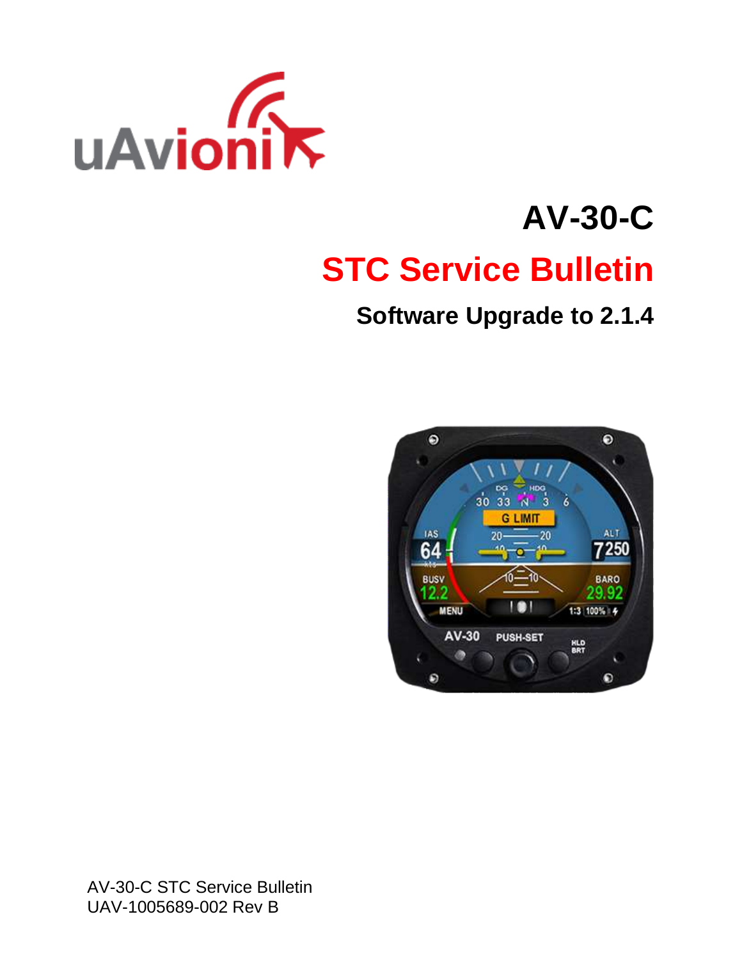

# **AV-30-C STC Service Bulletin**

# **Software Upgrade to 2.1.4**



AV-30-C STC Service Bulletin UAV-1005689-002 Rev B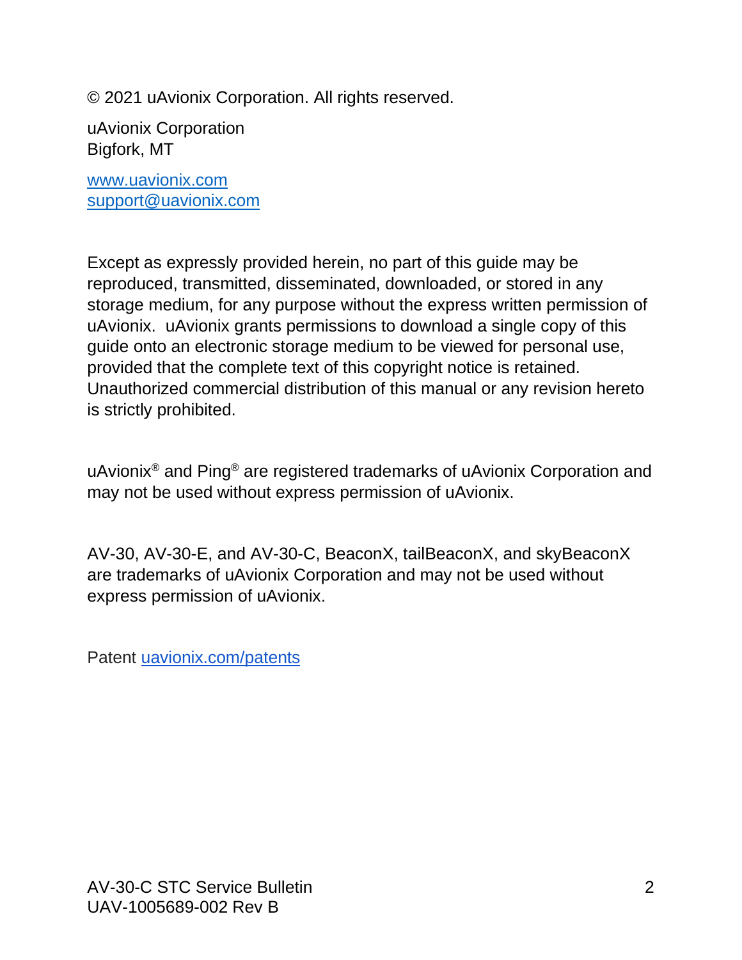© 2021 uAvionix Corporation. All rights reserved.

uAvionix Corporation Bigfork, MT

[www.uavionix.com](http://www.uavionix.com/) [support@uavionix.com](mailto:support@uavionix.com)

Except as expressly provided herein, no part of this guide may be reproduced, transmitted, disseminated, downloaded, or stored in any storage medium, for any purpose without the express written permission of uAvionix. uAvionix grants permissions to download a single copy of this guide onto an electronic storage medium to be viewed for personal use, provided that the complete text of this copyright notice is retained. Unauthorized commercial distribution of this manual or any revision hereto is strictly prohibited.

uAvionix® and Ping® are registered trademarks of uAvionix Corporation and may not be used without express permission of uAvionix.

AV-30, AV-30-E, and AV-30-C, BeaconX, tailBeaconX, and skyBeaconX are trademarks of uAvionix Corporation and may not be used without express permission of uAvionix.

Patent [uavionix.com/patents](http://uavionix.com/patents)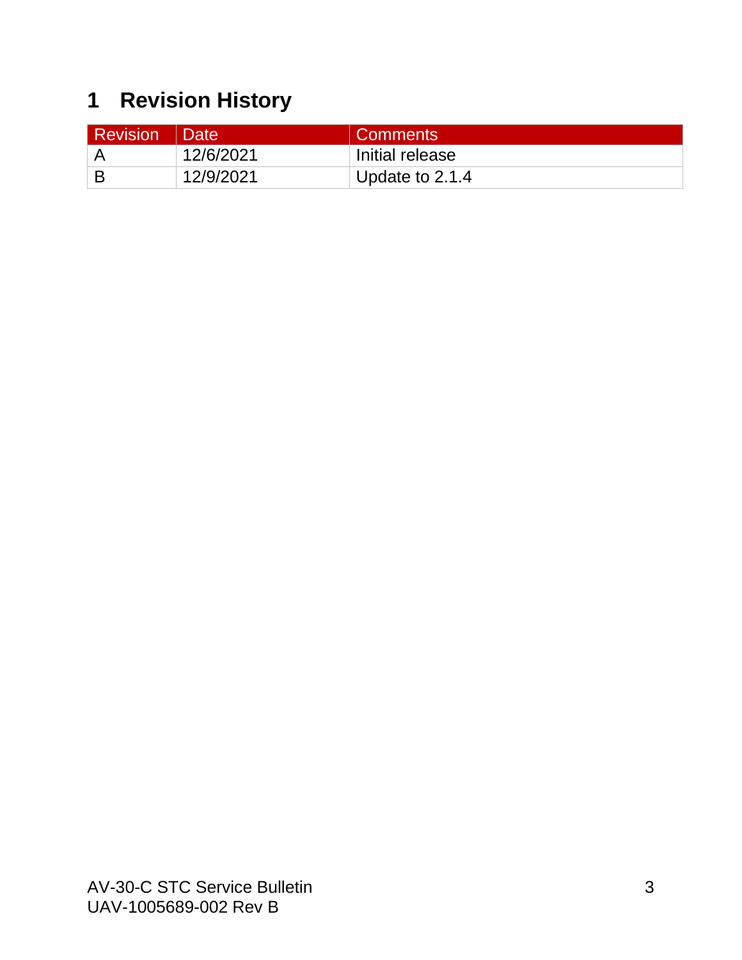# <span id="page-2-0"></span>**1 Revision History**

| <b>Revision</b> | ∣ Date    | <b>Comments</b> |
|-----------------|-----------|-----------------|
|                 | 12/6/2021 | Initial release |
|                 | 12/9/2021 | Update to 2.1.4 |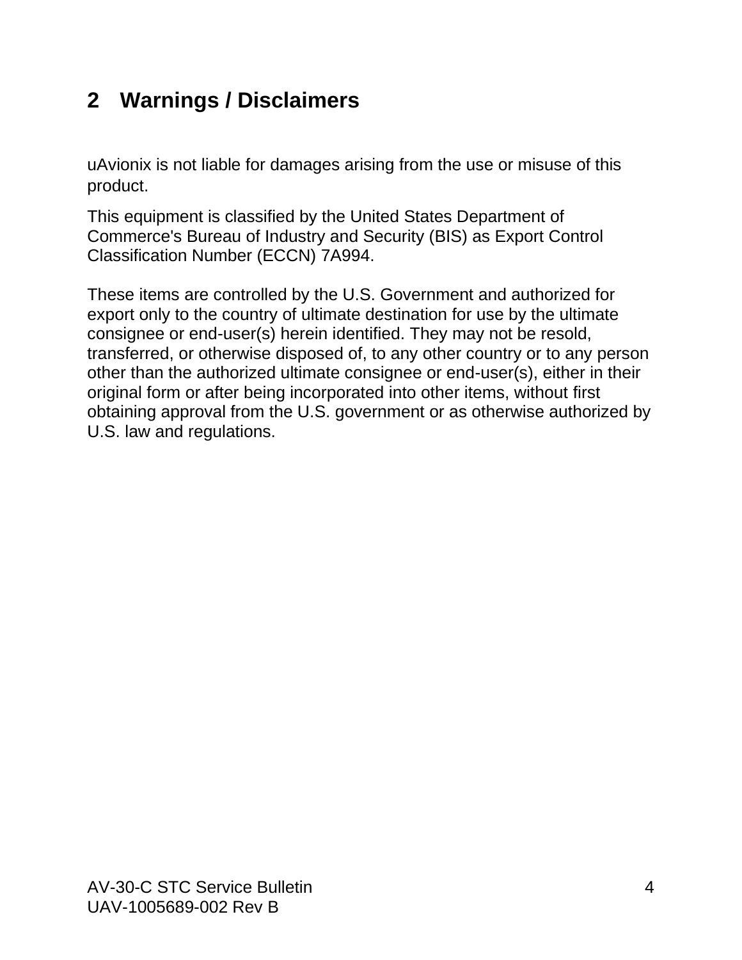# <span id="page-3-0"></span>**2 Warnings / Disclaimers**

uAvionix is not liable for damages arising from the use or misuse of this product.

This equipment is classified by the United States Department of Commerce's Bureau of Industry and Security (BIS) as Export Control Classification Number (ECCN) 7A994.

These items are controlled by the U.S. Government and authorized for export only to the country of ultimate destination for use by the ultimate consignee or end-user(s) herein identified. They may not be resold, transferred, or otherwise disposed of, to any other country or to any person other than the authorized ultimate consignee or end-user(s), either in their original form or after being incorporated into other items, without first obtaining approval from the U.S. government or as otherwise authorized by U.S. law and regulations.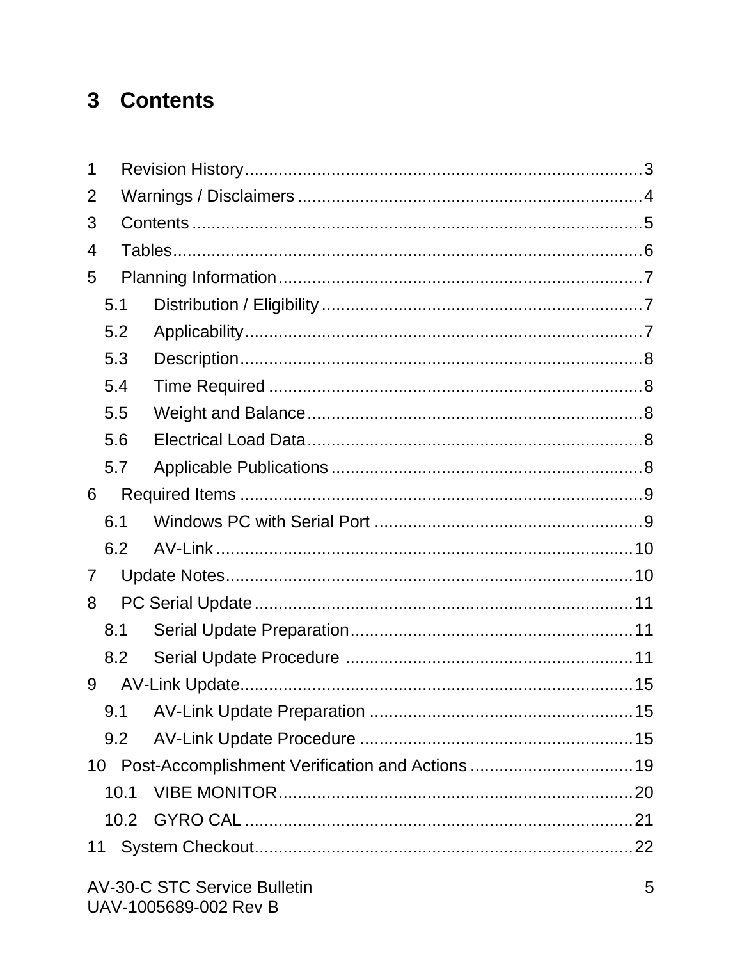# <span id="page-4-0"></span>3 Contents

| 1 |      |                                                     |  |
|---|------|-----------------------------------------------------|--|
| 2 |      |                                                     |  |
| 3 |      |                                                     |  |
| 4 |      |                                                     |  |
| 5 |      |                                                     |  |
|   | 5.1  |                                                     |  |
|   | 5.2  |                                                     |  |
|   | 5.3  |                                                     |  |
|   | 5.4  |                                                     |  |
|   | 5.5  |                                                     |  |
|   | 5.6  |                                                     |  |
|   | 5.7  |                                                     |  |
| 6 |      |                                                     |  |
|   |      |                                                     |  |
|   | 6.1  |                                                     |  |
|   | 6.2  |                                                     |  |
| 7 |      |                                                     |  |
| 8 |      |                                                     |  |
|   | 8.1  |                                                     |  |
|   | 8.2  |                                                     |  |
| 9 |      |                                                     |  |
|   | 9.1  |                                                     |  |
|   | 9.2  |                                                     |  |
|   |      | 10 Post-Accomplishment Verification and Actions  19 |  |
|   | 10.1 |                                                     |  |
|   | 10.2 |                                                     |  |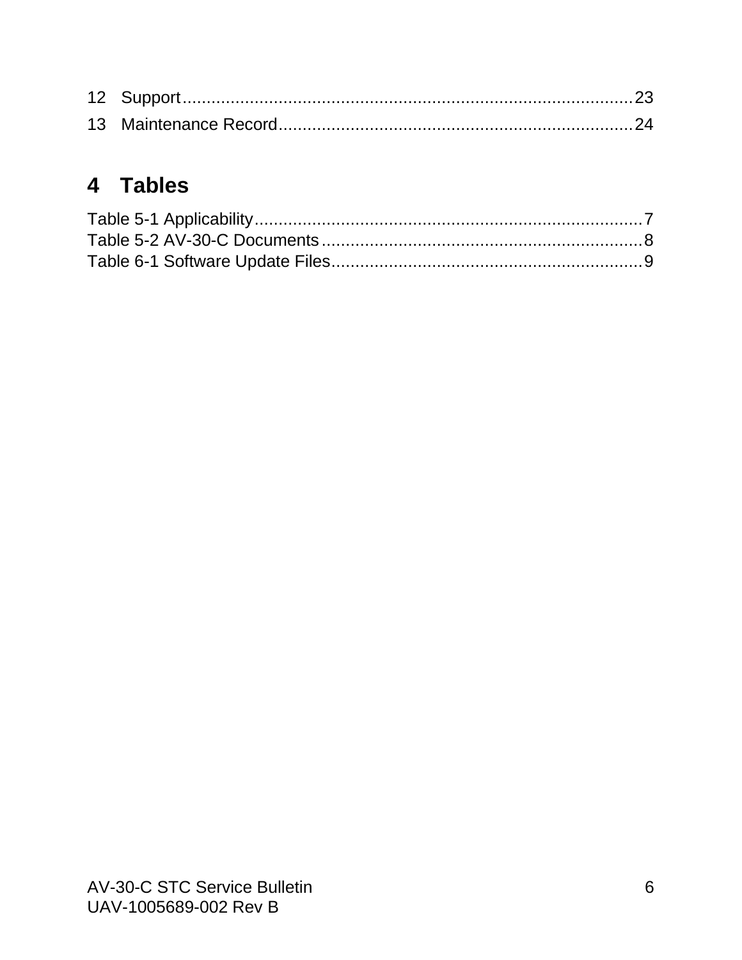# <span id="page-5-0"></span>4 Tables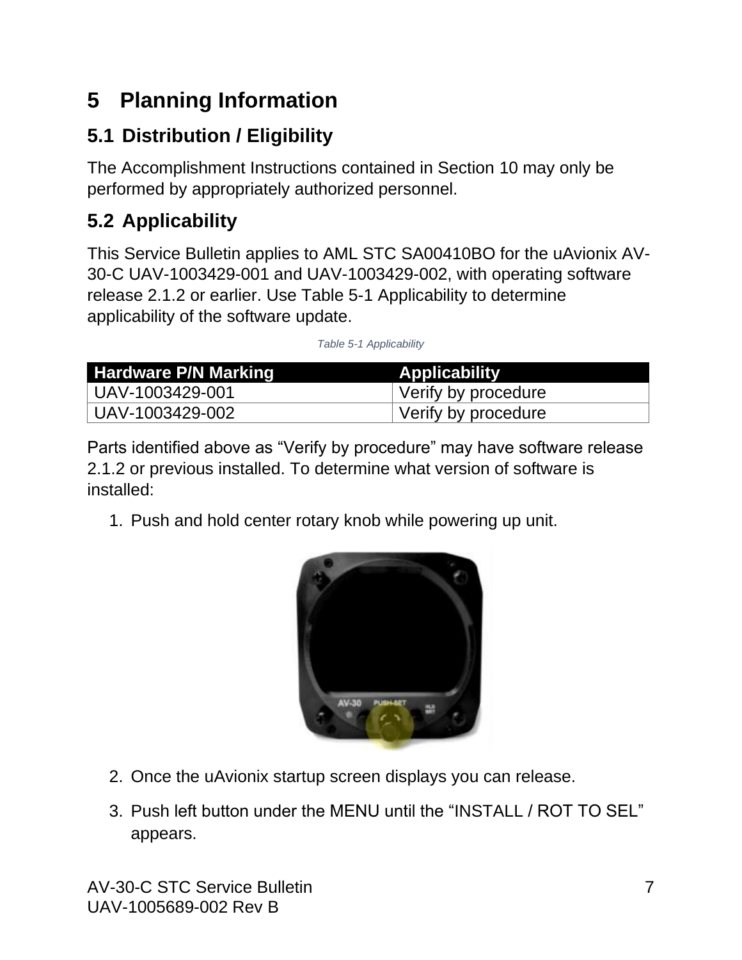# <span id="page-6-0"></span>**5 Planning Information**

# <span id="page-6-1"></span>**5.1 Distribution / Eligibility**

The Accomplishment Instructions contained in Section [10](#page-18-0) may only be performed by appropriately authorized personnel.

# <span id="page-6-2"></span>**5.2 Applicability**

This Service Bulletin applies to AML STC SA00410BO for the uAvionix AV-30-C UAV-1003429-001 and UAV-1003429-002, with operating software release 2.1.2 or earlier. Use Table 5-1 [Applicability](#page-6-3) to determine applicability of the software update.

*Table 5-1 Applicability*

<span id="page-6-3"></span>

| Hardware P/N Marking | <b>Applicability</b> |
|----------------------|----------------------|
| UAV-1003429-001      | Verify by procedure  |
| UAV-1003429-002      | Verify by procedure  |

Parts identified above as "Verify by procedure" may have software release 2.1.2 or previous installed. To determine what version of software is installed:

1. Push and hold center rotary knob while powering up unit.



- 2. Once the uAvionix startup screen displays you can release.
- 3. Push left button under the MENU until the "INSTALL / ROT TO SEL" appears.

AV-30-C STC Service Bulletin 7 UAV-1005689-002 Rev B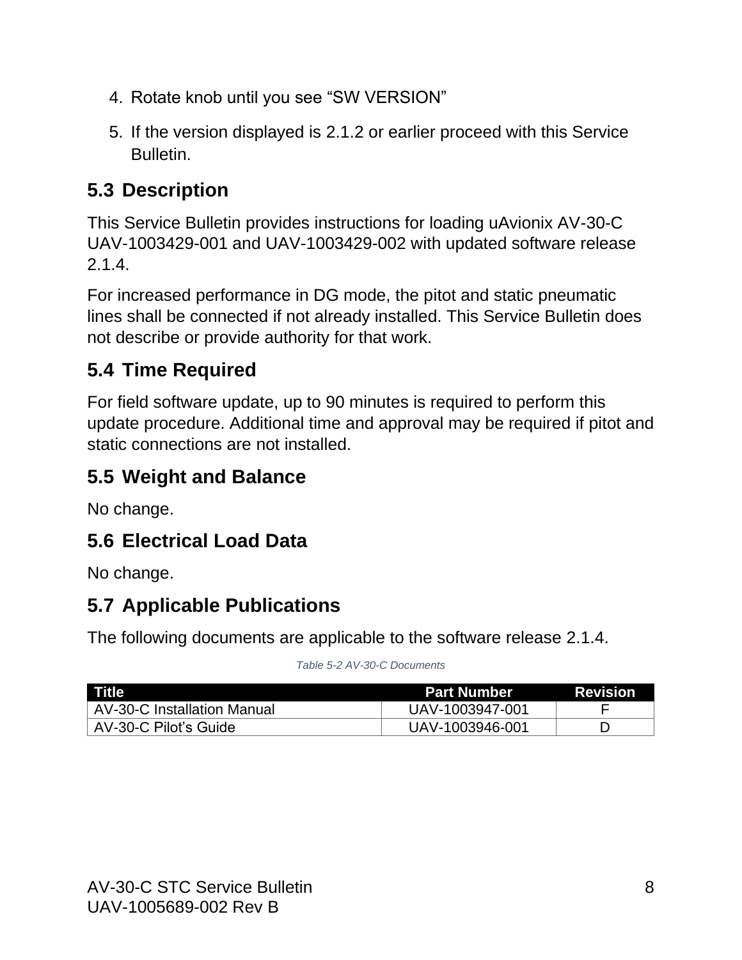- 4. Rotate knob until you see "SW VERSION"
- 5. If the version displayed is 2.1.2 or earlier proceed with this Service Bulletin.

# <span id="page-7-0"></span>**5.3 Description**

This Service Bulletin provides instructions for loading uAvionix AV-30-C UAV-1003429-001 and UAV-1003429-002 with updated software release 2.1.4.

For increased performance in DG mode, the pitot and static pneumatic lines shall be connected if not already installed. This Service Bulletin does not describe or provide authority for that work.

#### <span id="page-7-1"></span>**5.4 Time Required**

For field software update, up to 90 minutes is required to perform this update procedure. Additional time and approval may be required if pitot and static connections are not installed.

## <span id="page-7-2"></span>**5.5 Weight and Balance**

No change.

## <span id="page-7-3"></span>**5.6 Electrical Load Data**

No change.

# <span id="page-7-4"></span>**5.7 Applicable Publications**

The following documents are applicable to the software release 2.1.4.

#### *Table 5-2 AV-30-C Documents*

<span id="page-7-5"></span>

| <b>Title</b>                       | <b>Part Number</b> | <b>Revision</b> |
|------------------------------------|--------------------|-----------------|
| <b>AV-30-C Installation Manual</b> | UAV-1003947-001    |                 |
| AV-30-C Pilot's Guide              | UAV-1003946-001    |                 |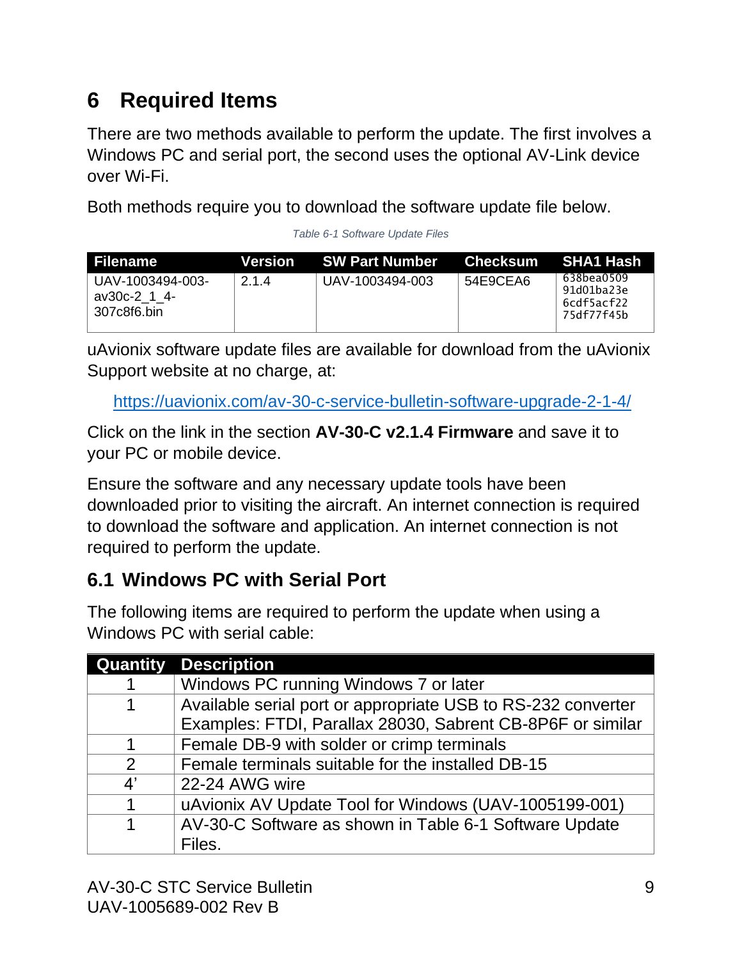# <span id="page-8-0"></span>**6 Required Items**

There are two methods available to perform the update. The first involves a Windows PC and serial port, the second uses the optional AV-Link device over Wi-Fi.

Both methods require you to download the software update file below.

*Table 6-1 Software Update Files*

<span id="page-8-2"></span>

| Filename                                        |     | Version SW Part Number | Checksum SHA1 Hash |                                                      |
|-------------------------------------------------|-----|------------------------|--------------------|------------------------------------------------------|
| UAV-1003494-003-<br>av30c-2 1 4-<br>307c8f6.bin | 214 | UAV-1003494-003        | 54E9CEA6           | 638bea0509<br>91d01ba23e<br>6cdf5acf22<br>75df77f45b |

uAvionix software update files are available for download from the uAvionix Support website at no charge, at:

<https://uavionix.com/av-30-c-service-bulletin-software-upgrade-2-1-4/>

Click on the link in the section **AV-30-C v2.1.4 Firmware** and save it to your PC or mobile device.

Ensure the software and any necessary update tools have been downloaded prior to visiting the aircraft. An internet connection is required to download the software and application. An internet connection is not required to perform the update.

#### <span id="page-8-1"></span>**6.1 Windows PC with Serial Port**

The following items are required to perform the update when using a Windows PC with serial cable:

| <b>Quantity</b>       | <b>Description</b>                                           |
|-----------------------|--------------------------------------------------------------|
|                       | Windows PC running Windows 7 or later                        |
|                       | Available serial port or appropriate USB to RS-232 converter |
|                       | Examples: FTDI, Parallax 28030, Sabrent CB-8P6F or similar   |
|                       | Female DB-9 with solder or crimp terminals                   |
| $\overline{2}$        | Female terminals suitable for the installed DB-15            |
| $\mathbf{4}^{\prime}$ | 22-24 AWG wire                                               |
|                       | uAvionix AV Update Tool for Windows (UAV-1005199-001)        |
|                       | AV-30-C Software as shown in Table 6-1 Software Update       |
|                       | Files.                                                       |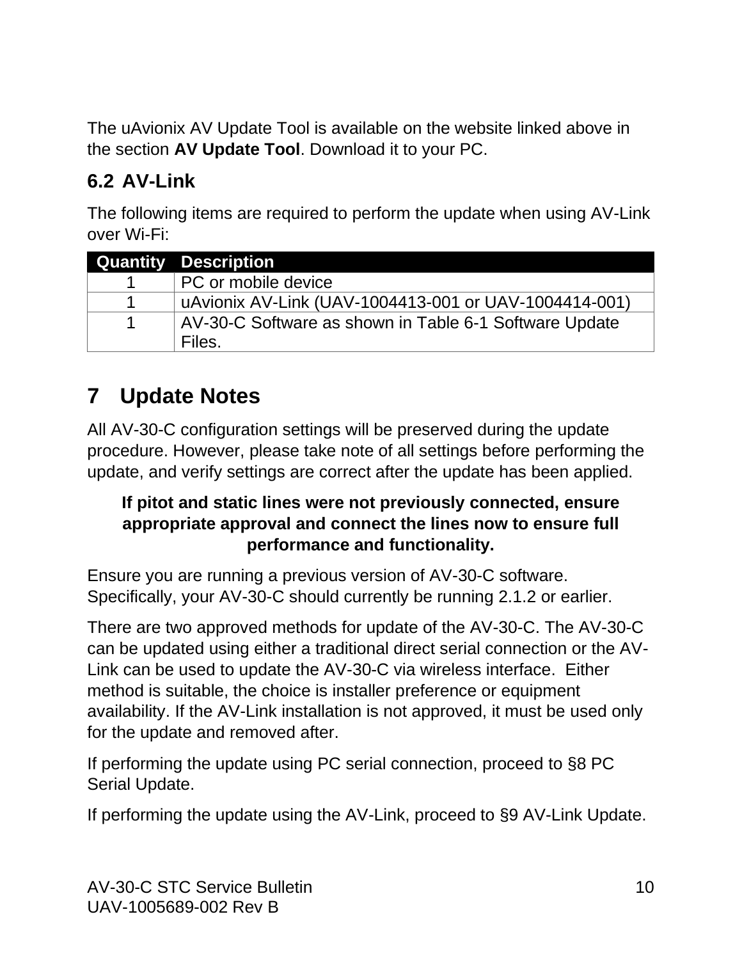The uAvionix AV Update Tool is available on the website linked above in the section **AV Update Tool**. Download it to your PC.

#### <span id="page-9-0"></span>**6.2 AV-Link**

The following items are required to perform the update when using AV-Link over Wi-Fi:

| <b>Quantity Description</b>                            |
|--------------------------------------------------------|
| PC or mobile device                                    |
| uAvionix AV-Link (UAV-1004413-001 or UAV-1004414-001)  |
| AV-30-C Software as shown in Table 6-1 Software Update |
| Files.                                                 |

# <span id="page-9-1"></span>**7 Update Notes**

All AV-30-C configuration settings will be preserved during the update procedure. However, please take note of all settings before performing the update, and verify settings are correct after the update has been applied.

#### **If pitot and static lines were not previously connected, ensure appropriate approval and connect the lines now to ensure full performance and functionality.**

Ensure you are running a previous version of AV-30-C software. Specifically, your AV-30-C should currently be running 2.1.2 or earlier.

There are two approved methods for update of the AV-30-C. The AV-30-C can be updated using either a traditional direct serial connection or the AV-Link can be used to update the AV-30-C via wireless interface. Either method is suitable, the choice is installer preference or equipment availability. If the AV-Link installation is not approved, it must be used only for the update and removed after.

If performing the update using PC serial connection, proceed to [§8](#page-10-0) [PC](#page-10-0)  [Serial Update.](#page-10-0)

If performing the update using the AV-Link, proceed to [§9](#page-14-0) [AV-Link Update.](#page-14-0)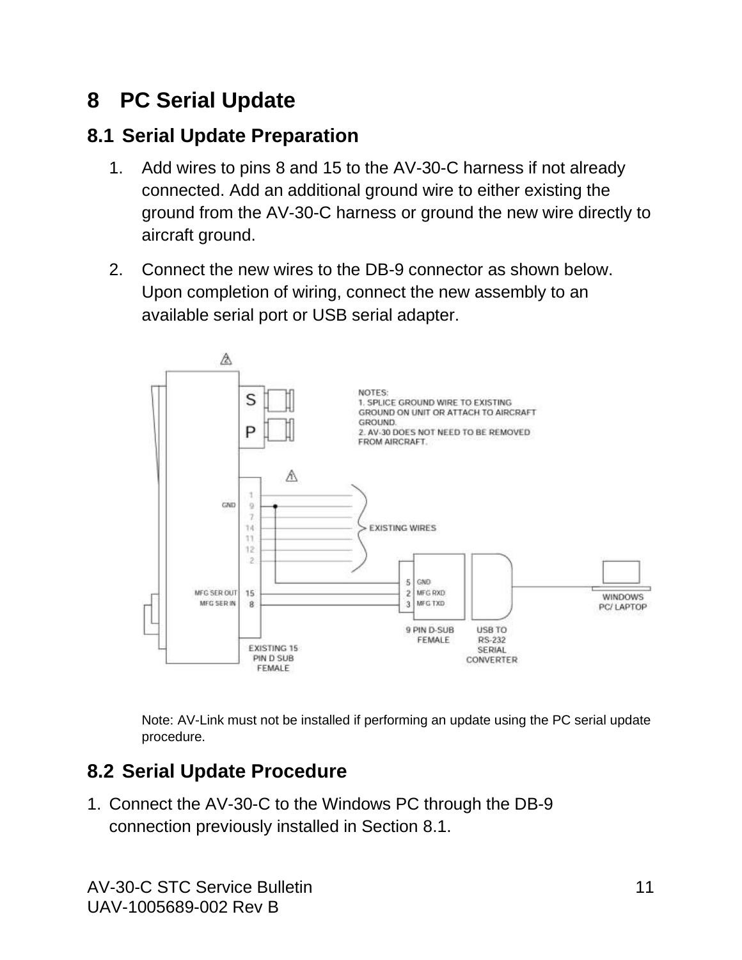# <span id="page-10-0"></span>**8 PC Serial Update**

#### <span id="page-10-1"></span>**8.1 Serial Update Preparation**

- 1. Add wires to pins 8 and 15 to the AV-30-C harness if not already connected. Add an additional ground wire to either existing the ground from the AV-30-C harness or ground the new wire directly to aircraft ground.
- 2. Connect the new wires to the DB-9 connector as shown below. Upon completion of wiring, connect the new assembly to an available serial port or USB serial adapter.



Note: AV-Link must not be installed if performing an update using the PC serial update procedure.

#### <span id="page-10-2"></span>**8.2 Serial Update Procedure**

1. Connect the AV-30-C to the Windows PC through the DB-9 connection previously installed in Section [8.1.](#page-10-1)

AV-30-C STC Service Bulletin 11 UAV-1005689-002 Rev B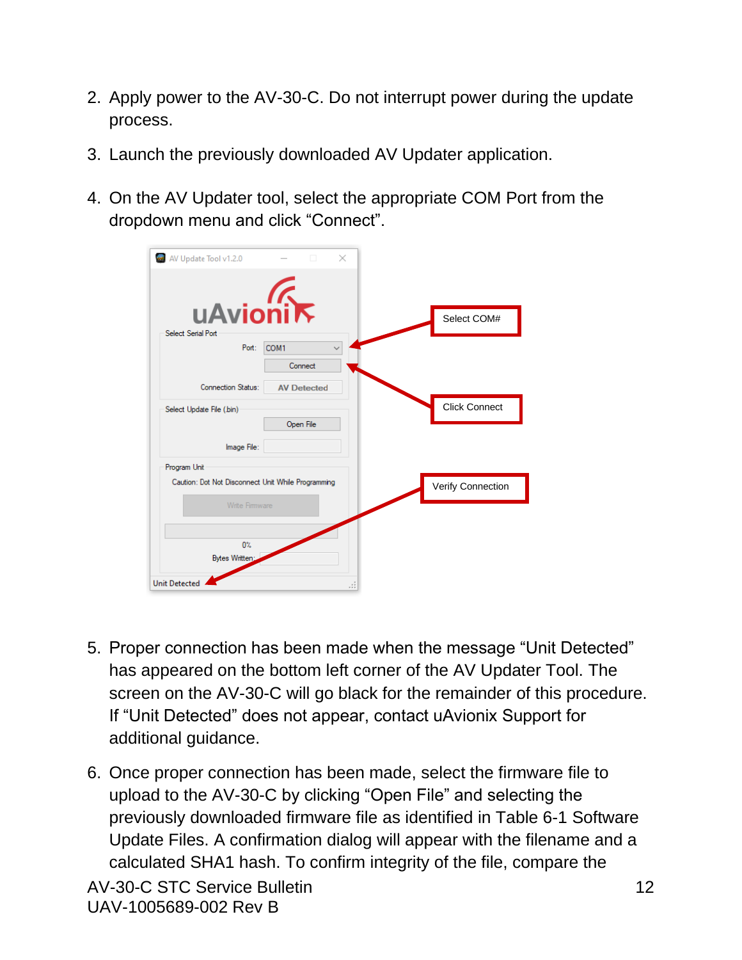- 2. Apply power to the AV-30-C. Do not interrupt power during the update process.
- 3. Launch the previously downloaded AV Updater application.
- 4. On the AV Updater tool, select the appropriate COM Port from the dropdown menu and click "Connect".

| AV Update Tool v1.2.0                              | $\Box$             | $\times$ |                      |
|----------------------------------------------------|--------------------|----------|----------------------|
| uAvionik<br>Select Serial Port                     |                    |          | Select COM#          |
| Port:                                              | COM1               |          |                      |
|                                                    | Connect            |          |                      |
| Connection Status:                                 | <b>AV Detected</b> |          |                      |
| Select Update File (.bin)                          |                    |          | <b>Click Connect</b> |
|                                                    | Open File          |          |                      |
| Image File:                                        |                    |          |                      |
| Program Unit                                       |                    |          |                      |
| Caution: Dot Not Disconnect Unit While Programming |                    |          | Verify Connection    |
| Write Firmware                                     |                    |          |                      |
|                                                    |                    |          |                      |
| $0\%$<br>Bytes Written:                            |                    |          |                      |
|                                                    |                    |          |                      |
| <b>Unit Detected</b>                               |                    | .        |                      |

- 5. Proper connection has been made when the message "Unit Detected" has appeared on the bottom left corner of the AV Updater Tool. The screen on the AV-30-C will go black for the remainder of this procedure. If "Unit Detected" does not appear, contact uAvionix Support for additional guidance.
- 6. Once proper connection has been made, select the firmware file to upload to the AV-30-C by clicking "Open File" and selecting the previously downloaded firmware file as identified in [Table 6-1](#page-8-2) Software [Update Files.](#page-8-2) A confirmation dialog will appear with the filename and a calculated SHA1 hash. To confirm integrity of the file, compare the

AV-30-C STC Service Bulletin 12 UAV-1005689-002 Rev B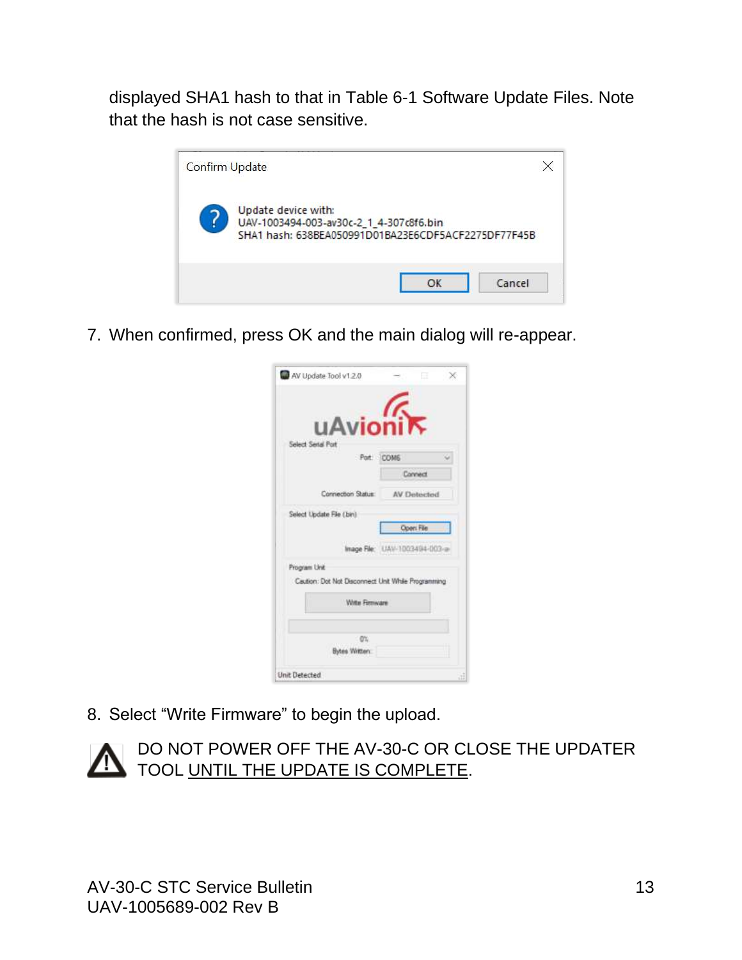displayed SHA1 hash to that in Table 6-1 [Software Update Files.](#page-8-2) Note that the hash is not case sensitive.



7. When confirmed, press OK and the main dialog will re-appear.

| uAvionik                                           |             |
|----------------------------------------------------|-------------|
| Select Serial Port                                 |             |
| Pot: COM6                                          |             |
|                                                    | Connect     |
| Connection Status:                                 | AV Detected |
| Select Update File (bin)                           |             |
|                                                    | Open File   |
| Inage File: UAV-1003494-003-a                      |             |
| Program Unit                                       |             |
| Caution: Dot Not Disconnect Unit While Programming |             |
| Write Fernware                                     |             |
| O%                                                 |             |
| Bytes Written                                      |             |
|                                                    |             |

8. Select "Write Firmware" to begin the upload.



DO NOT POWER OFF THE AV-30-C OR CLOSE THE UPDATER TOOL UNTIL THE UPDATE IS COMPLETE.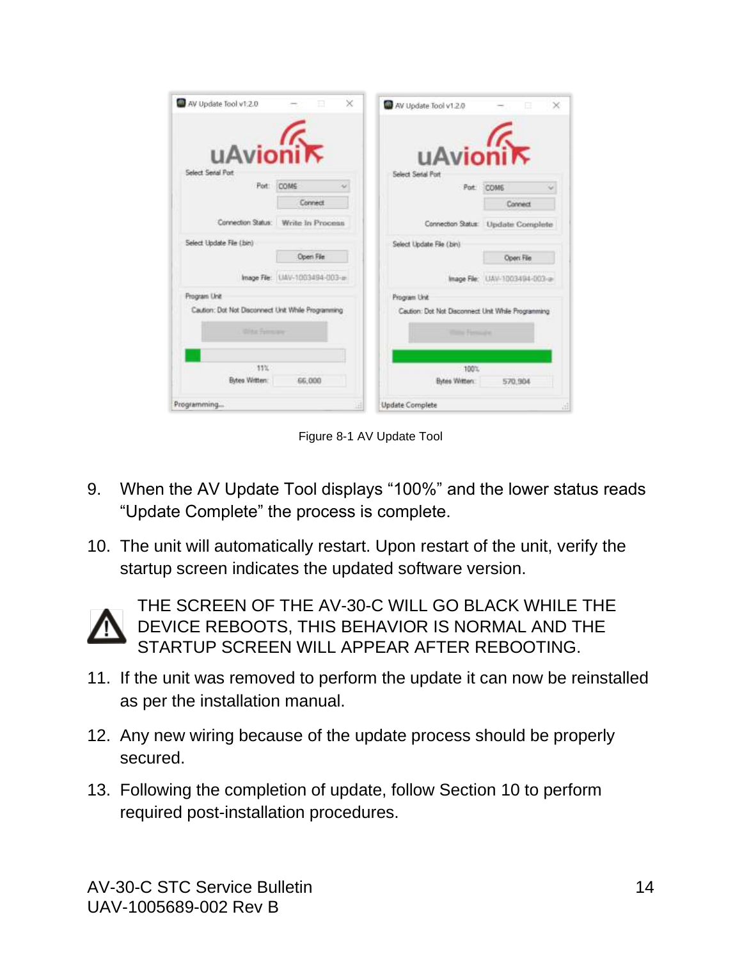| AV Update Tool v1.2.0                              | $\times$<br>田                       | AV Update Tool v1.2.0                              | ×<br>Œ                             |
|----------------------------------------------------|-------------------------------------|----------------------------------------------------|------------------------------------|
| uAvionik<br>Select Senal Port                      |                                     | uAvionik<br>Select Serial Port                     |                                    |
|                                                    | Port: COM6<br>$\sim$                | Port                                               | <b>COME</b>                        |
|                                                    | Connect                             |                                                    | Connect                            |
|                                                    | Connection Status: Write In Process |                                                    | Connection Status: Update Complete |
| Select Update File (.bin)                          |                                     | Select Update File (bin)                           |                                    |
|                                                    | Open File                           |                                                    | Open File                          |
|                                                    | Image File: UAV-1003494-003-a-      |                                                    | Inage File: UAV-1003494-003-a-     |
| Program Unit                                       |                                     | <b>Program Unit</b>                                |                                    |
| Caution: Dot Not Disconnect Unit While Programming |                                     | Caution: Dot Not Disconnect Unit While Programming |                                    |
| <b>White Females</b>                               |                                     | <b>Photos Ferminant</b>                            |                                    |
| 11%                                                |                                     | 100%                                               |                                    |
| Bytes Written:                                     | 66,000                              | Bytes Witten:                                      | 570,904                            |
| Programming                                        | 词                                   | <b>Update Complete</b>                             | 뼓                                  |

Figure 8-1 AV Update Tool

- 9. When the AV Update Tool displays "100%" and the lower status reads "Update Complete" the process is complete.
- 10. The unit will automatically restart. Upon restart of the unit, verify the startup screen indicates the updated software version.



THE SCREEN OF THE AV-30-C WILL GO BLACK WHILE THE DEVICE REBOOTS, THIS BEHAVIOR IS NORMAL AND THE STARTUP SCREEN WILL APPEAR AFTER REBOOTING.

- 11. If the unit was removed to perform the update it can now be reinstalled as per the installation manual.
- 12. Any new wiring because of the update process should be properly secured.
- 13. Following the completion of update, follow Section [10](#page-18-0) to perform required post-installation procedures.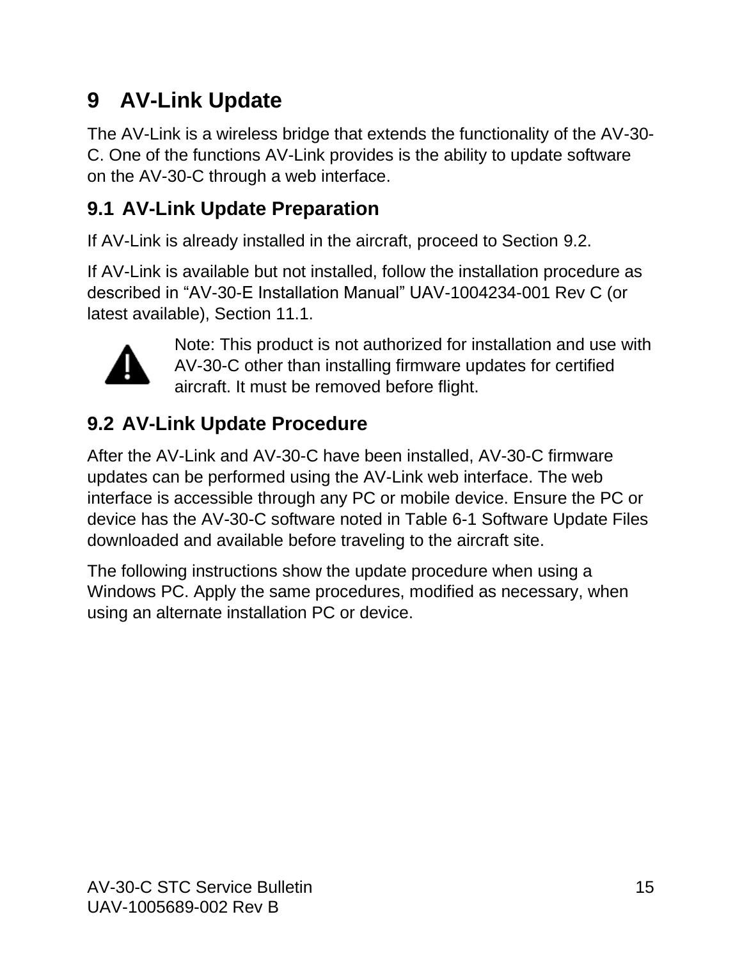# <span id="page-14-0"></span>**9 AV-Link Update**

The AV-Link is a wireless bridge that extends the functionality of the AV-30- C. One of the functions AV-Link provides is the ability to update software on the AV-30-C through a web interface.

### <span id="page-14-1"></span>**9.1 AV-Link Update Preparation**

If AV-Link is already installed in the aircraft, proceed to Section [9.2.](#page-14-2)

If AV-Link is available but not installed, follow the installation procedure as described in "AV-30-E Installation Manual" UAV-1004234-001 Rev C (or latest available), Section 11.1.



Note: This product is not authorized for installation and use with AV-30-C other than installing firmware updates for certified aircraft. It must be removed before flight.

# <span id="page-14-2"></span>**9.2 AV-Link Update Procedure**

After the AV-Link and AV-30-C have been installed, AV-30-C firmware updates can be performed using the AV-Link web interface. The web interface is accessible through any PC or mobile device. Ensure the PC or device has the AV-30-C software noted in Table 6-1 [Software Update Files](#page-8-2) downloaded and available before traveling to the aircraft site.

The following instructions show the update procedure when using a Windows PC. Apply the same procedures, modified as necessary, when using an alternate installation PC or device.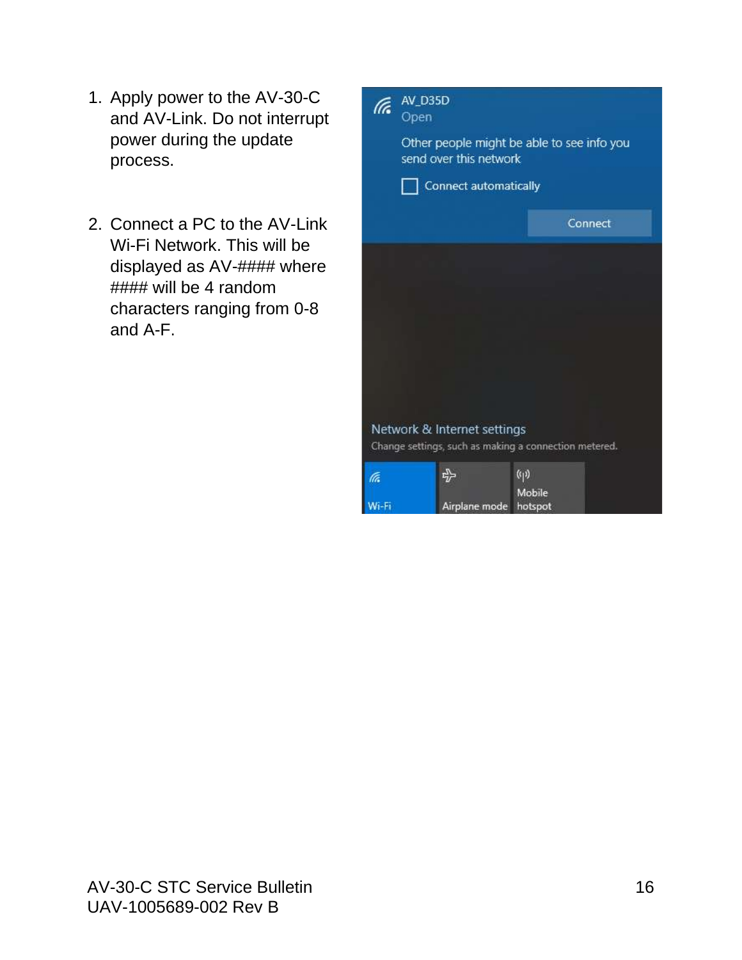- 1. Apply power to the AV-30-C and AV-Link. Do not interrupt power during the update process.
- 2. Connect a PC to the AV-Link Wi-Fi Network. This will be displayed as AV-#### where #### will be 4 random characters ranging from 0-8 and A-F.

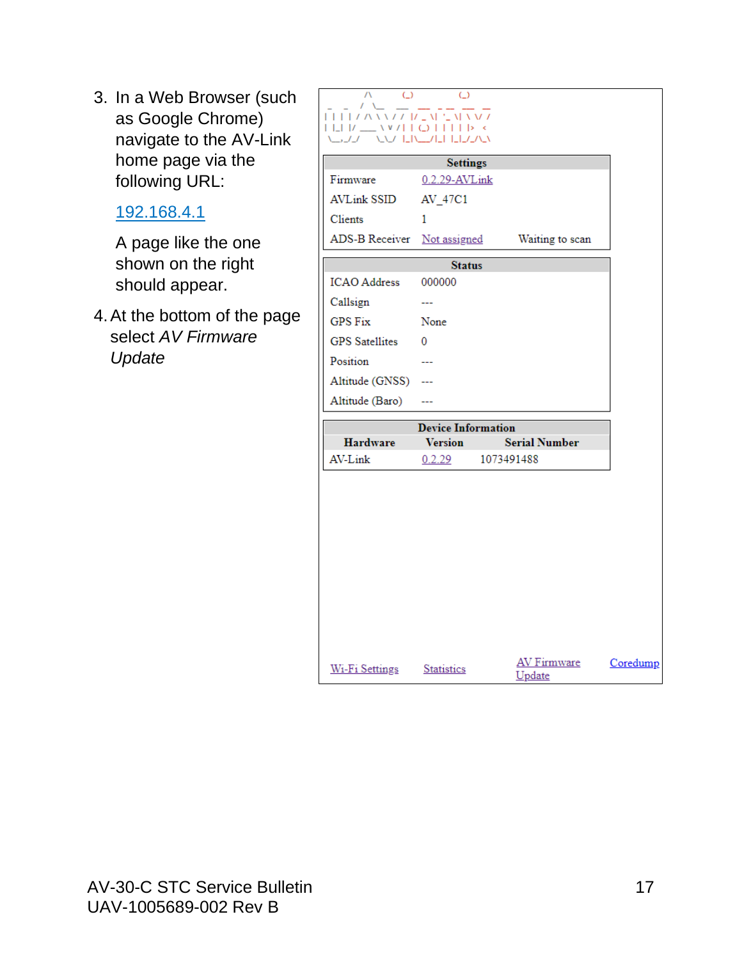3. In a Web Browser (such as Google Chrome) navigate to the AV-Link home page via the following URL:

#### 192.168.4.1

A page like the one shown on the right should appear.

4.At the bottom of the page select *AV Firmware Update*

| $\bigcirc$<br>$\bigcirc$<br>$\Box\Box\Box\Box\wedge\Delta\Delta\Delta\angle\angle\Box\angle\Box\Delta\Box\Box\Delta\Delta\Delta\angle\angle$<br>$\begin{array}{c} \square \square \textcolor{red}{ l } \square \textcolor{red}{ l } \square \textcolor{red}{\square} \textcolor{red}{\wedge} \textcolor{red}{\vee} \textcolor{red}{l } \textcolor{red}{ l } \textcolor{red}{\bigcirc} \textcolor{red}{ l } \textcolor{red}{ l } \textcolor{red}{ l } \textcolor{red}{\triangleright} \textcolor{red}{\prec} \end{array}$<br><b>AND LINEDIAL LIBRARY</b><br>いファ |                 |            |                              |          |  |  |
|----------------------------------------------------------------------------------------------------------------------------------------------------------------------------------------------------------------------------------------------------------------------------------------------------------------------------------------------------------------------------------------------------------------------------------------------------------------------------------------------------------------------------------------------------------------|-----------------|------------|------------------------------|----------|--|--|
|                                                                                                                                                                                                                                                                                                                                                                                                                                                                                                                                                                | <b>Settings</b> |            |                              |          |  |  |
| Firmware                                                                                                                                                                                                                                                                                                                                                                                                                                                                                                                                                       | 0.2.29-AVLink   |            |                              |          |  |  |
| <b>AVLink SSID</b>                                                                                                                                                                                                                                                                                                                                                                                                                                                                                                                                             | AV_47C1         |            |                              |          |  |  |
| Clients                                                                                                                                                                                                                                                                                                                                                                                                                                                                                                                                                        | 1               |            |                              |          |  |  |
| ADS-B Receiver Not assigned                                                                                                                                                                                                                                                                                                                                                                                                                                                                                                                                    |                 |            | Waiting to scan              |          |  |  |
| <b>Status</b>                                                                                                                                                                                                                                                                                                                                                                                                                                                                                                                                                  |                 |            |                              |          |  |  |
| <b>ICAO</b> Address                                                                                                                                                                                                                                                                                                                                                                                                                                                                                                                                            | 000000          |            |                              |          |  |  |
| Callsign                                                                                                                                                                                                                                                                                                                                                                                                                                                                                                                                                       | <u></u>         |            |                              |          |  |  |
| <b>GPS Fix</b>                                                                                                                                                                                                                                                                                                                                                                                                                                                                                                                                                 | None            |            |                              |          |  |  |
| <b>GPS</b> Satellites                                                                                                                                                                                                                                                                                                                                                                                                                                                                                                                                          | 0               |            |                              |          |  |  |
| Position                                                                                                                                                                                                                                                                                                                                                                                                                                                                                                                                                       | ---             |            |                              |          |  |  |
| Altitude (GNSS)                                                                                                                                                                                                                                                                                                                                                                                                                                                                                                                                                |                 |            |                              |          |  |  |
| Altitude (Baro)                                                                                                                                                                                                                                                                                                                                                                                                                                                                                                                                                |                 |            |                              |          |  |  |
| <b>Device Information</b>                                                                                                                                                                                                                                                                                                                                                                                                                                                                                                                                      |                 |            |                              |          |  |  |
| <b>Hardware</b>                                                                                                                                                                                                                                                                                                                                                                                                                                                                                                                                                | <b>Version</b>  |            | <b>Serial Number</b>         |          |  |  |
| AV-Link                                                                                                                                                                                                                                                                                                                                                                                                                                                                                                                                                        | 0.2.29          | 1073491488 |                              |          |  |  |
|                                                                                                                                                                                                                                                                                                                                                                                                                                                                                                                                                                |                 |            |                              |          |  |  |
| Wi-Fi Settings Statistics                                                                                                                                                                                                                                                                                                                                                                                                                                                                                                                                      |                 |            | <b>AV Firmware</b><br>Update | Coredump |  |  |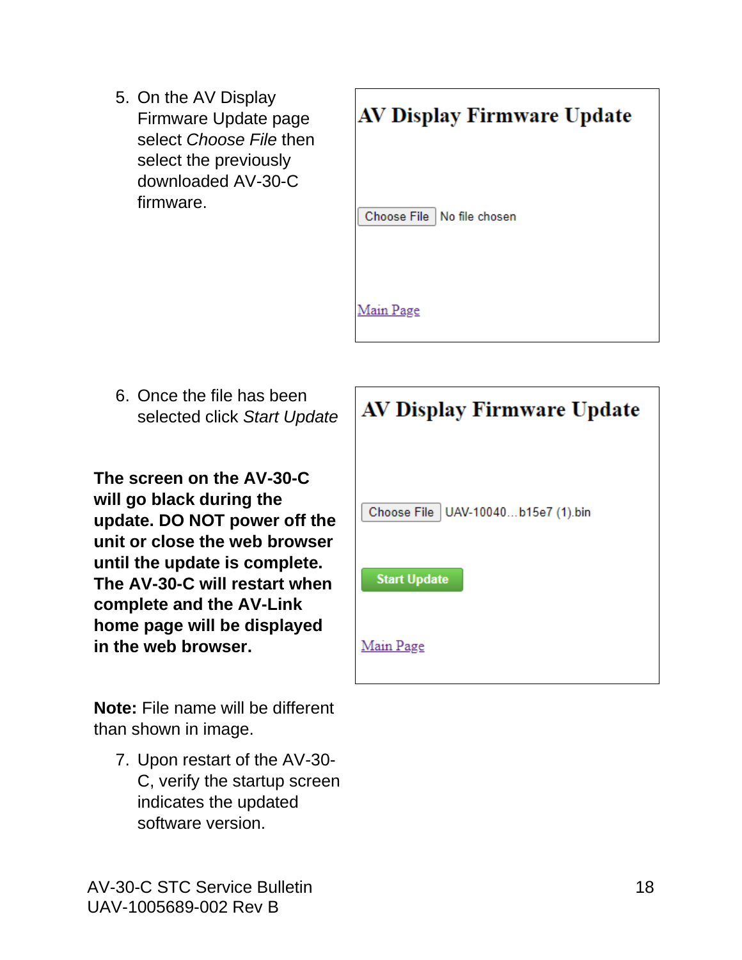5. On the AV Display Firmware Update page select *Choose File* then select the previously downloaded AV-30-C firmware.



6. Once the file has been selected click *Start Update*

**The screen on the AV-30-C will go black during the update. DO NOT power off the unit or close the web browser until the update is complete. The AV-30-C will restart when complete and the AV-Link home page will be displayed in the web browser.**

**Note:** File name will be different than shown in image.

7. Upon restart of the AV-30- C, verify the startup screen indicates the updated software version.

| <b>AV Display Firmware Update</b>    |  |  |
|--------------------------------------|--|--|
|                                      |  |  |
| Choose File   UAV-10040b15e7 (1).bin |  |  |
| <b>Start Update</b>                  |  |  |
| Main Page                            |  |  |

AV-30-C STC Service Bulletin 18 UAV-1005689-002 Rev B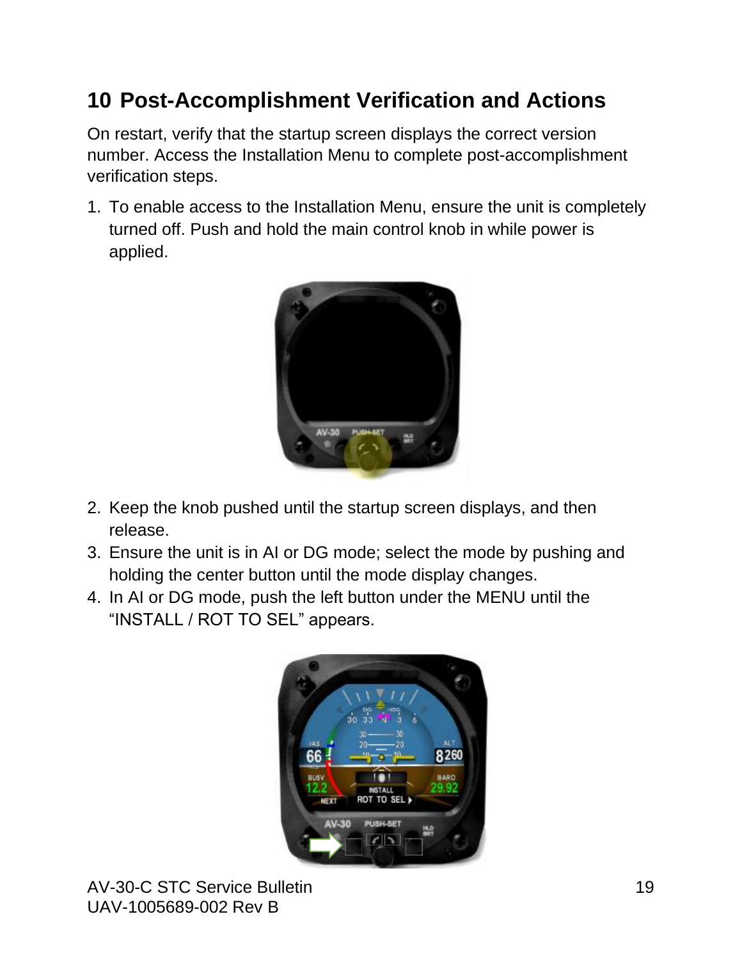# <span id="page-18-0"></span>**10 Post-Accomplishment Verification and Actions**

On restart, verify that the startup screen displays the correct version number. Access the Installation Menu to complete post-accomplishment verification steps.

1. To enable access to the Installation Menu, ensure the unit is completely turned off. Push and hold the main control knob in while power is applied.



- 2. Keep the knob pushed until the startup screen displays, and then release.
- 3. Ensure the unit is in AI or DG mode; select the mode by pushing and holding the center button until the mode display changes.
- 4. In AI or DG mode, push the left button under the MENU until the "INSTALL / ROT TO SEL" appears.

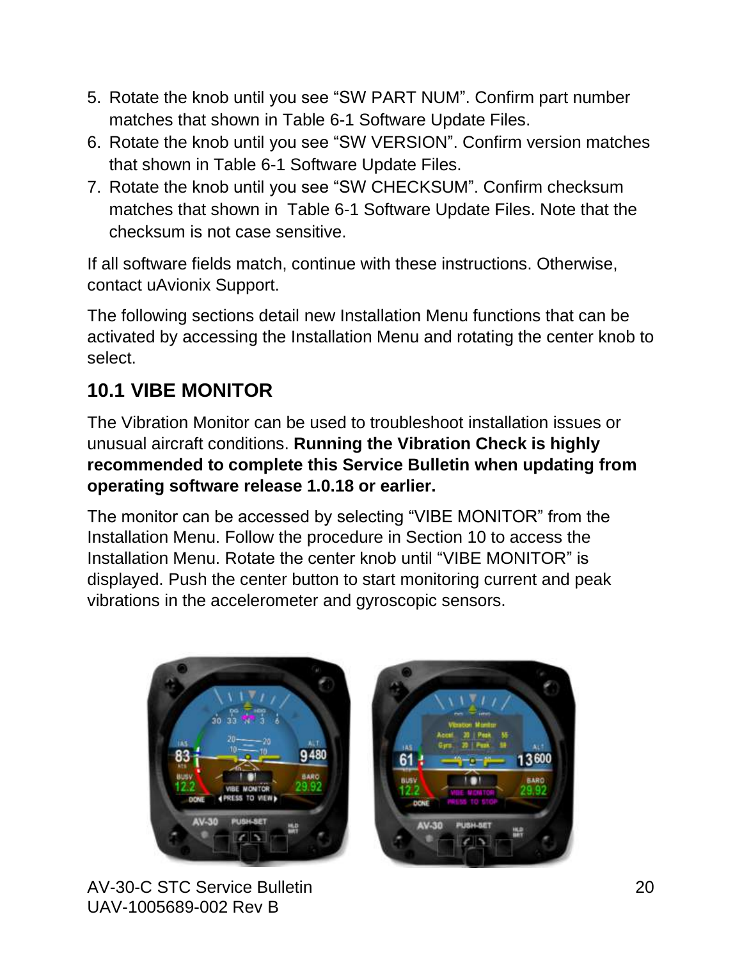- 5. Rotate the knob until you see "SW PART NUM". Confirm part number matches that shown in Table 6-1 [Software Update Files.](#page-8-2)
- 6. Rotate the knob until you see "SW VERSION". Confirm version matches that shown in Table 6-1 [Software Update Files.](#page-8-2)
- 7. Rotate the knob until you see "SW CHECKSUM". Confirm checksum matches that shown in Table 6-1 [Software Update Files.](#page-8-2) Note that the checksum is not case sensitive.

If all software fields match, continue with these instructions. Otherwise, contact uAvionix Support.

The following sections detail new Installation Menu functions that can be activated by accessing the Installation Menu and rotating the center knob to select.

#### <span id="page-19-0"></span>**10.1 VIBE MONITOR**

The Vibration Monitor can be used to troubleshoot installation issues or unusual aircraft conditions. **Running the Vibration Check is highly recommended to complete this Service Bulletin when updating from operating software release 1.0.18 or earlier.**

The monitor can be accessed by selecting "VIBE MONITOR" from the Installation Menu. Follow the procedure in Section [10](#page-18-0) to access the Installation Menu. Rotate the center knob until "VIBE MONITOR" is displayed. Push the center button to start monitoring current and peak vibrations in the accelerometer and gyroscopic sensors.



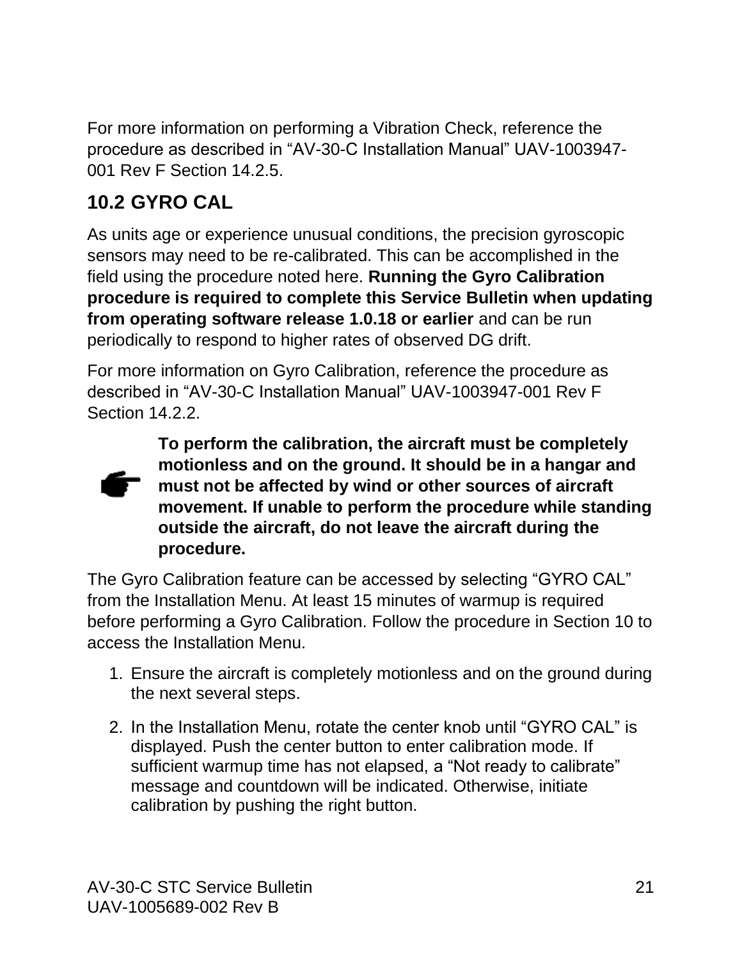For more information on performing a Vibration Check, reference the procedure as described in "AV-30-C Installation Manual" UAV-1003947- 001 Rev F Section 14.2.5.

#### <span id="page-20-0"></span>**10.2 GYRO CAL**

As units age or experience unusual conditions, the precision gyroscopic sensors may need to be re-calibrated. This can be accomplished in the field using the procedure noted here. **Running the Gyro Calibration procedure is required to complete this Service Bulletin when updating from operating software release 1.0.18 or earlier** and can be run periodically to respond to higher rates of observed DG drift.

For more information on Gyro Calibration, reference the procedure as described in "AV-30-C Installation Manual" UAV-1003947-001 Rev F Section 14.2.2.



**To perform the calibration, the aircraft must be completely motionless and on the ground. It should be in a hangar and must not be affected by wind or other sources of aircraft movement. If unable to perform the procedure while standing outside the aircraft, do not leave the aircraft during the procedure.**

The Gyro Calibration feature can be accessed by selecting "GYRO CAL" from the Installation Menu. At least 15 minutes of warmup is required before performing a Gyro Calibration. Follow the procedure in Section [10](#page-18-0) to access the Installation Menu.

- 1. Ensure the aircraft is completely motionless and on the ground during the next several steps.
- 2. In the Installation Menu, rotate the center knob until "GYRO CAL" is displayed. Push the center button to enter calibration mode. If sufficient warmup time has not elapsed, a "Not ready to calibrate" message and countdown will be indicated. Otherwise, initiate calibration by pushing the right button.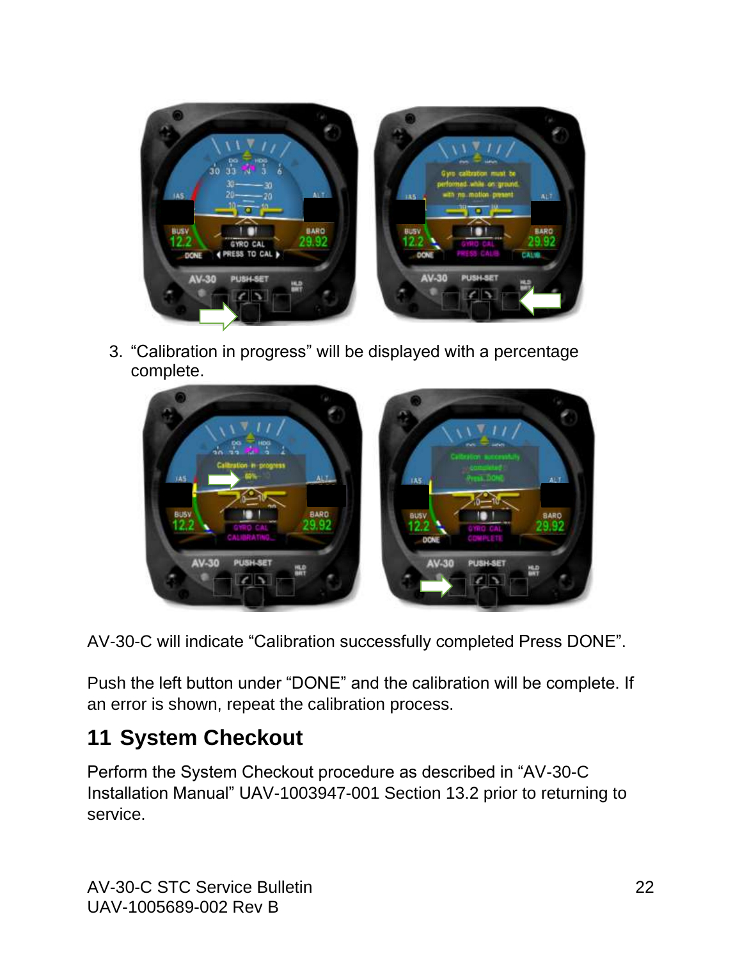

3. "Calibration in progress" will be displayed with a percentage complete.



AV-30-C will indicate "Calibration successfully completed Press DONE".

Push the left button under "DONE" and the calibration will be complete. If an error is shown, repeat the calibration process.

# <span id="page-21-0"></span>**11 System Checkout**

Perform the System Checkout procedure as described in "AV-30-C Installation Manual" UAV-1003947-001 Section 13.2 prior to returning to service.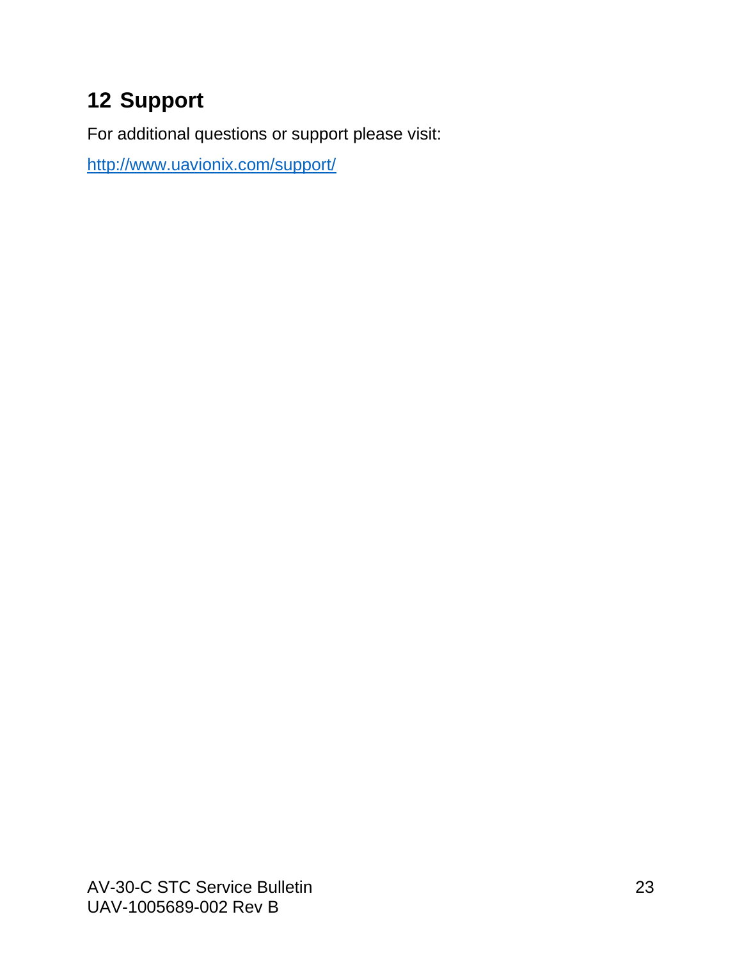# <span id="page-22-0"></span>**12 Support**

For additional questions or support please visit:

<http://www.uavionix.com/support/>